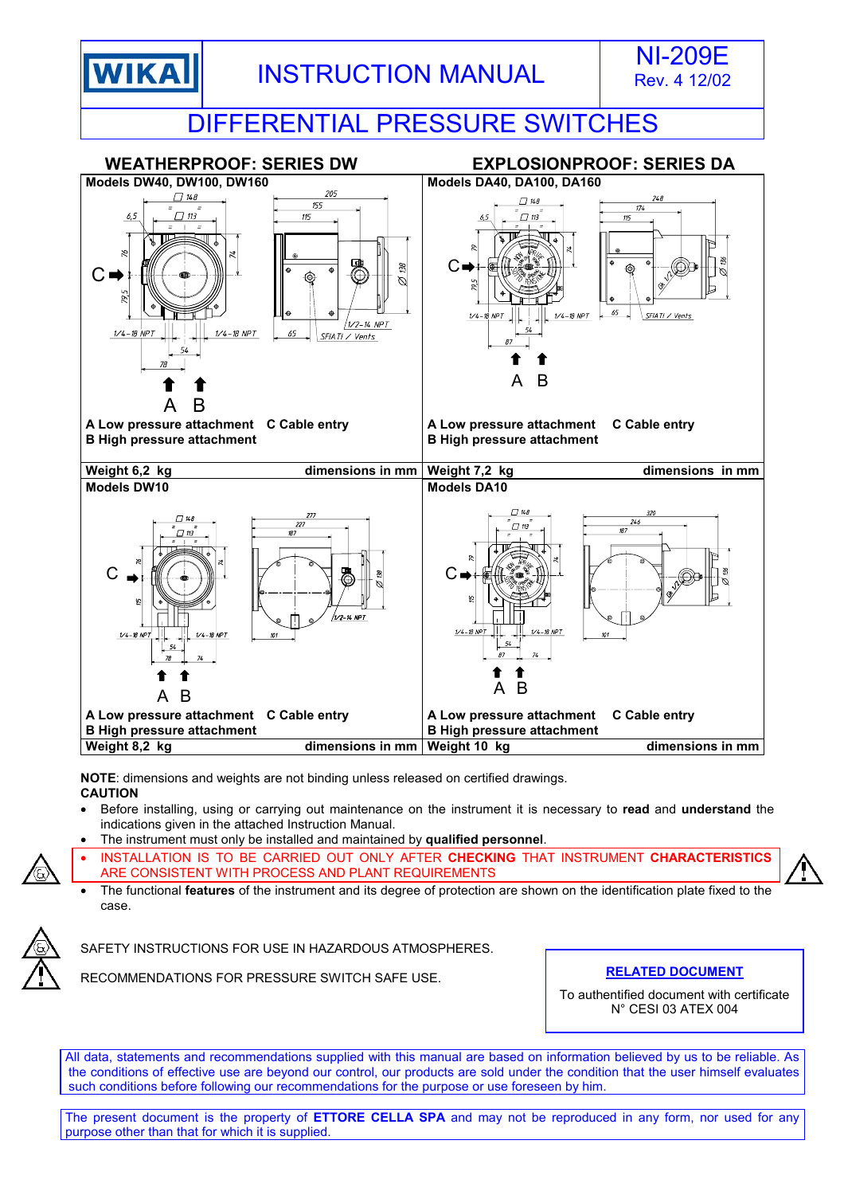



## DIFFERENTIAL PRESSURE SWITCHES



**NOTE**: dimensions and weights are not binding unless released on certified drawings. **CAUTION** 

- Before installing, using or carrying out maintenance on the instrument it is necessary to **read** and **understand** the indications given in the attached Instruction Manual.
- The instrument must only be installed and maintained by **qualified personnel**.
- INSTALLATION IS TO BE CARRIED OUT ONLY AFTER **CHECKING** THAT INSTRUMENT **CHARACTERISTICS** ARE CONSISTENT WITH PROCESS AND PLANT REQUIREMENTS
- The functional **features** of the instrument and its degree of protection are shown on the identification plate fixed to the case.





RECOMMENDATIONS FOR PRESSURE SWITCH SAFE USE. **RELATED DOCUMENT**

To authentified document with certificate N° CESI 03 ATEX 004

All data, statements and recommendations supplied with this manual are based on information believed by us to be reliable. As the conditions of effective use are beyond our control, our products are sold under the condition that the user himself evaluates such conditions before following our recommendations for the purpose or use foreseen by him.

The present document is the property of **ETTORE CELLA SPA** and may not be reproduced in any form, nor used for any purpose other than that for which it is supplied.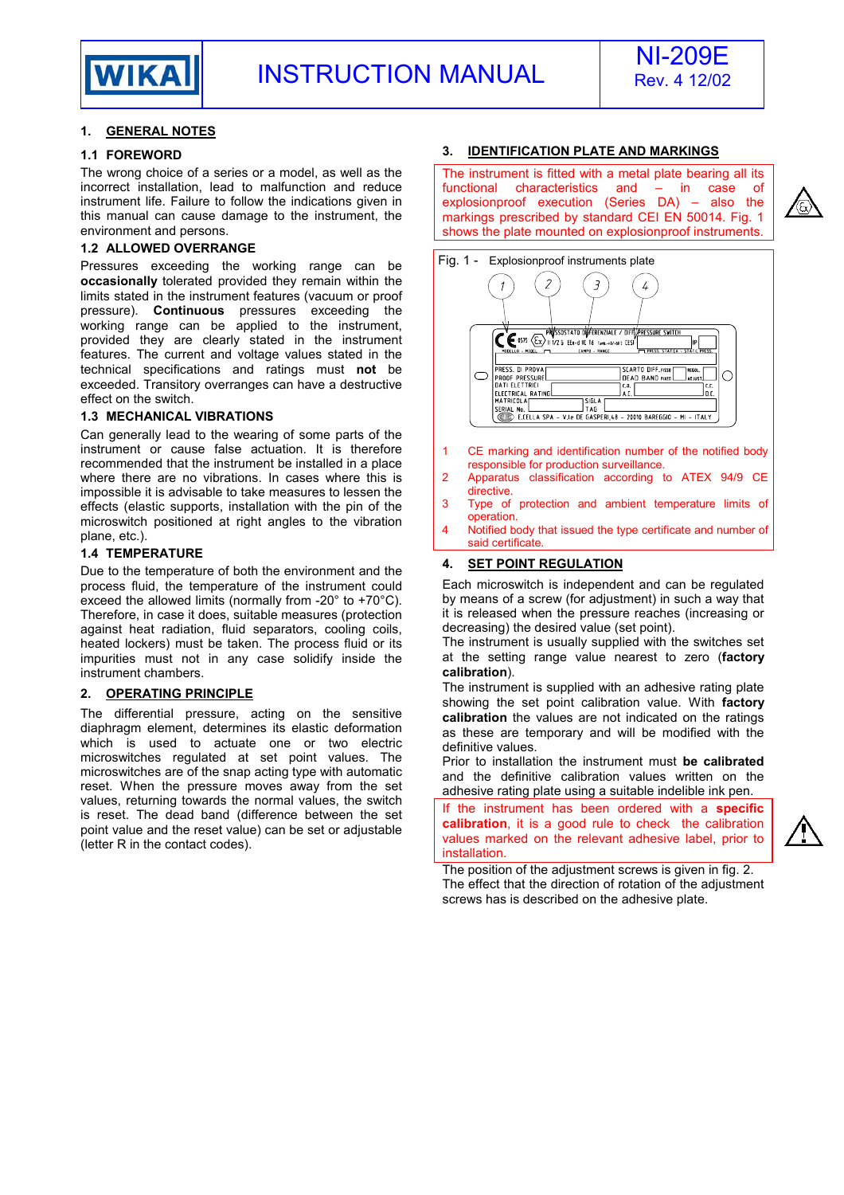

### **1. GENERAL NOTES**

### **1.1 FOREWORD**

The wrong choice of a series or a model, as well as the incorrect installation, lead to malfunction and reduce instrument life. Failure to follow the indications given in this manual can cause damage to the instrument, the environment and persons.

### **1.2 ALLOWED OVERRANGE**

Pressures exceeding the working range can be **occasionally** tolerated provided they remain within the limits stated in the instrument features (vacuum or proof pressure). **Continuous** pressures exceeding the working range can be applied to the instrument, provided they are clearly stated in the instrument features. The current and voltage values stated in the technical specifications and ratings must **not** be exceeded. Transitory overranges can have a destructive effect on the switch.

### **1.3 MECHANICAL VIBRATIONS**

Can generally lead to the wearing of some parts of the instrument or cause false actuation. It is therefore recommended that the instrument be installed in a place where there are no vibrations. In cases where this is impossible it is advisable to take measures to lessen the effects (elastic supports, installation with the pin of the microswitch positioned at right angles to the vibration plane, etc.).

### **1.4 TEMPERATURE**

Due to the temperature of both the environment and the process fluid, the temperature of the instrument could exceed the allowed limits (normally from -20° to +70°C). Therefore, in case it does, suitable measures (protection against heat radiation, fluid separators, cooling coils, heated lockers) must be taken. The process fluid or its impurities must not in any case solidify inside the instrument chambers.

### **2. OPERATING PRINCIPLE**

The differential pressure, acting on the sensitive diaphragm element, determines its elastic deformation which is used to actuate one or two electric microswitches regulated at set point values. The microswitches are of the snap acting type with automatic reset. When the pressure moves away from the set values, returning towards the normal values, the switch is reset. The dead band (difference between the set point value and the reset value) can be set or adjustable (letter R in the contact codes).

### **3. IDENTIFICATION PLATE AND MARKINGS**

The instrument is fitted with a metal plate bearing all its functional characteristics and – in case of explosionproof execution (Series DA) – also the markings prescribed by standard CEI EN 50014. Fig. 1 shows the plate mounted on explosionproof instruments.



- responsible for production surveillance. 2 Apparatus classification according to ATEX 94/9 CE
- directive. 3 Type of protection and ambient temperature limits of operation.
- 4 Notified body that issued the type certificate and number of said certificate

### **4. SET POINT REGULATION**

Each microswitch is independent and can be regulated by means of a screw (for adjustment) in such a way that it is released when the pressure reaches (increasing or decreasing) the desired value (set point).

The instrument is usually supplied with the switches set at the setting range value nearest to zero (**factory calibration**).

The instrument is supplied with an adhesive rating plate showing the set point calibration value. With **factory calibration** the values are not indicated on the ratings as these are temporary and will be modified with the definitive values.

Prior to installation the instrument must **be calibrated** and the definitive calibration values written on the adhesive rating plate using a suitable indelible ink pen.

If the instrument has been ordered with a **specific calibration**, it is a good rule to check the calibration values marked on the relevant adhesive label, prior to installation.



The position of the adjustment screws is given in fig. 2. The effect that the direction of rotation of the adjustment screws has is described on the adhesive plate.

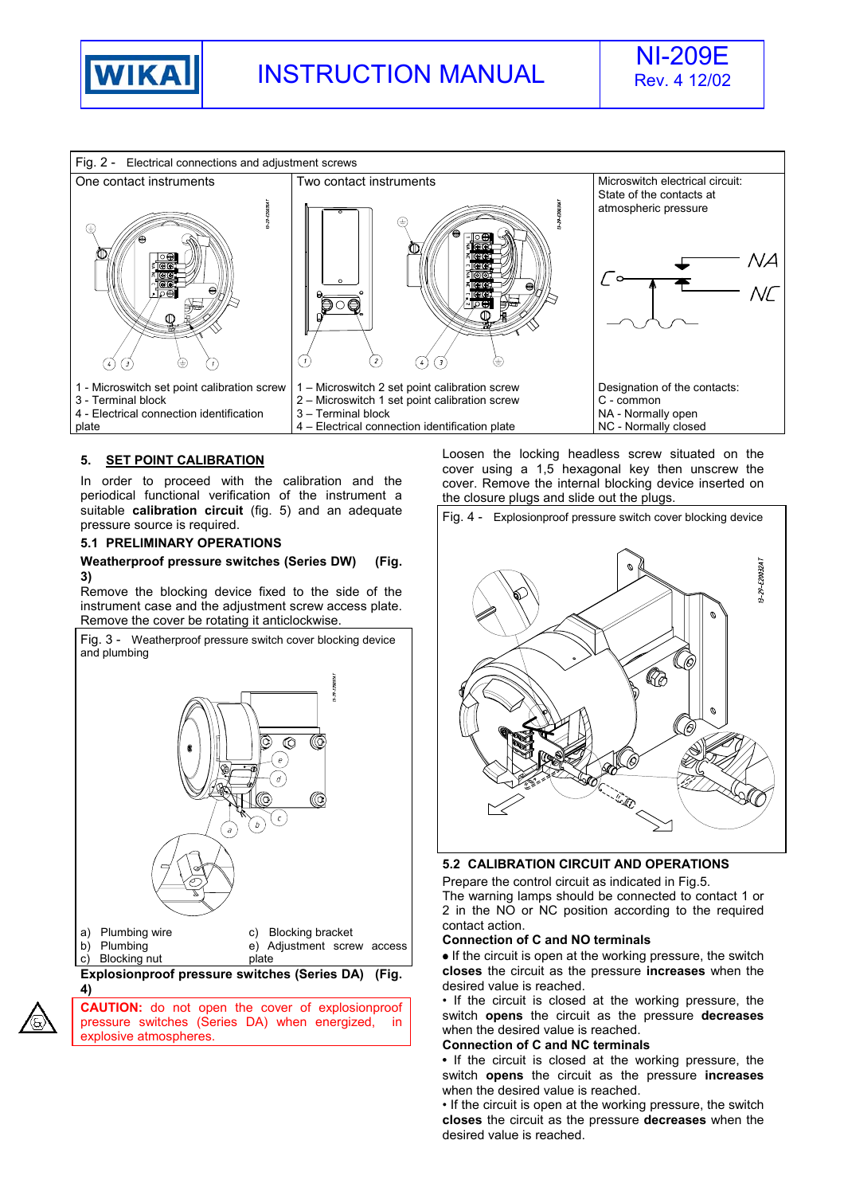





### **5. SET POINT CALIBRATION**

In order to proceed with the calibration and the periodical functional verification of the instrument a suitable **calibration circuit** (fig. 5) and an adequate pressure source is required.

### **5.1 PRELIMINARY OPERATIONS**

### **Weatherproof pressure switches (Series DW) (Fig. 3)**

Remove the blocking device fixed to the side of the instrument case and the adjustment screw access plate. Remove the cover be rotating it anticlockwise.

Fig. 3 - Weatherproof pressure switch cover blocking device and plumbing



**CAUTION:** do not open the cover of explosionproof pressure switches (Series DA) when energized, in explosive atmospheres.

Loosen the locking headless screw situated on the cover using a 1,5 hexagonal key then unscrew the cover. Remove the internal blocking device inserted on the closure plugs and slide out the plugs.



### **5.2 CALIBRATION CIRCUIT AND OPERATIONS**

Prepare the control circuit as indicated in Fig.5. The warning lamps should be connected to contact 1 or 2 in the NO or NC position according to the required contact action.

### **Connection of C and NO terminals**

• If the circuit is open at the working pressure, the switch **closes** the circuit as the pressure **increases** when the desired value is reached.

• If the circuit is closed at the working pressure, the switch **opens** the circuit as the pressure **decreases** when the desired value is reached.

### **Connection of C and NC terminals**

**•** If the circuit is closed at the working pressure, the switch **opens** the circuit as the pressure **increases** when the desired value is reached.

• If the circuit is open at the working pressure, the switch **closes** the circuit as the pressure **decreases** when the desired value is reached.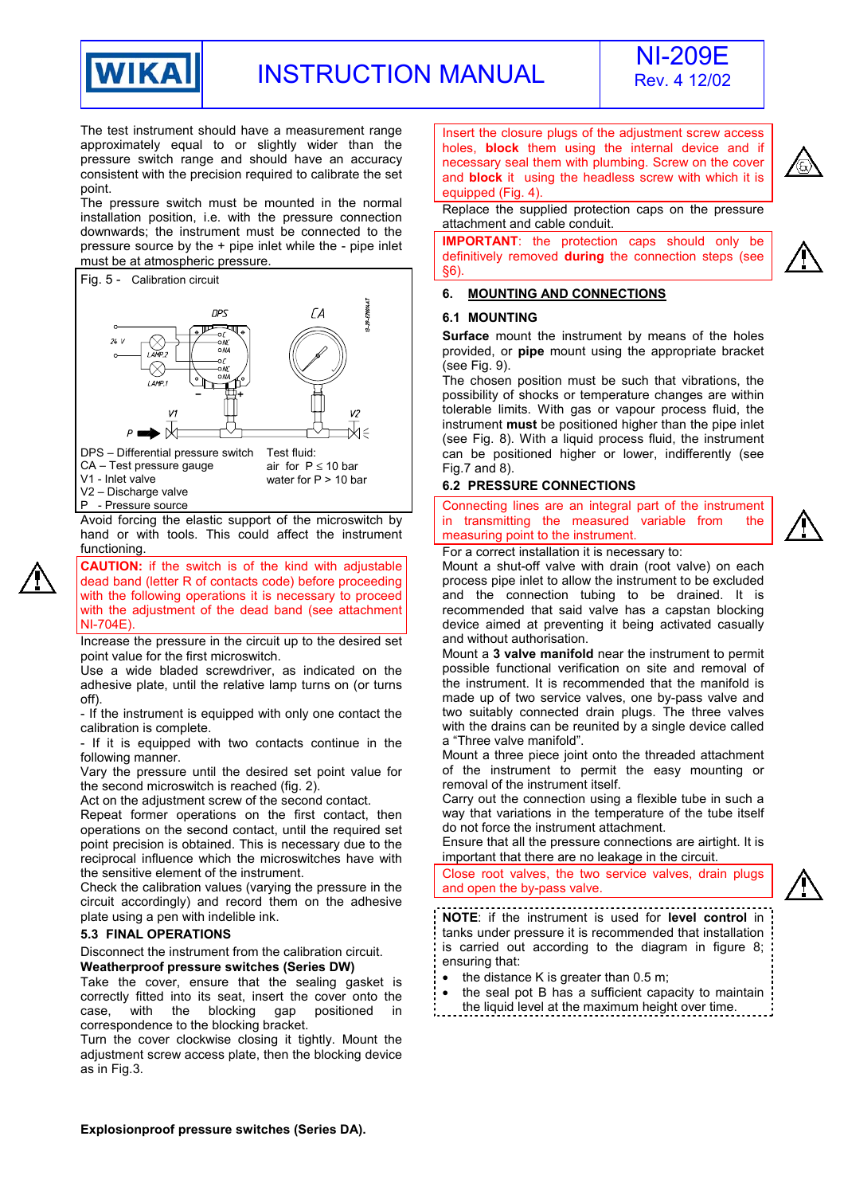

# INSTRUCTION MANUAL NI-209E



The test instrument should have a measurement range approximately equal to or slightly wider than the pressure switch range and should have an accuracy consistent with the precision required to calibrate the set point.

The pressure switch must be mounted in the normal installation position, i.e. with the pressure connection downwards; the instrument must be connected to the pressure source by the + pipe inlet while the - pipe inlet must be at atmospheric pressure.



V2 – Discharge valve P - Pressure source

Avoid forcing the elastic support of the microswitch by hand or with tools. This could affect the instrument functioning.

**CAUTION:** if the switch is of the kind with adjustable dead band (letter R of contacts code) before proceeding with the following operations it is necessary to proceed with the adjustment of the dead band (see attachment NI-704E).

Increase the pressure in the circuit up to the desired set point value for the first microswitch.

Use a wide bladed screwdriver, as indicated on the adhesive plate, until the relative lamp turns on (or turns off).

- If the instrument is equipped with only one contact the calibration is complete.

- If it is equipped with two contacts continue in the following manner.

Vary the pressure until the desired set point value for the second microswitch is reached (fig. 2).

Act on the adjustment screw of the second contact.

Repeat former operations on the first contact, then operations on the second contact, until the required set point precision is obtained. This is necessary due to the reciprocal influence which the microswitches have with the sensitive element of the instrument.

Check the calibration values (varying the pressure in the circuit accordingly) and record them on the adhesive plate using a pen with indelible ink.

### **5.3 FINAL OPERATIONS**

Disconnect the instrument from the calibration circuit. **Weatherproof pressure switches (Series DW)** 

Take the cover, ensure that the sealing gasket is correctly fitted into its seat, insert the cover onto the case, with the blocking gap positioned in correspondence to the blocking bracket.

Turn the cover clockwise closing it tightly. Mount the adjustment screw access plate, then the blocking device as in Fig.3.

Insert the closure plugs of the adjustment screw access holes, **block** them using the internal device and if necessary seal them with plumbing. Screw on the cover and **block** it using the headless screw with which it is equipped (Fig. 4).

Replace the supplied protection caps on the pressure attachment and cable conduit.

**IMPORTANT**: the protection caps should only be definitively removed **during** the connection steps (see §6).

### **6. MOUNTING AND CONNECTIONS**

### **6.1 MOUNTING**

**Surface** mount the instrument by means of the holes provided, or **pipe** mount using the appropriate bracket (see Fig. 9).

The chosen position must be such that vibrations, the possibility of shocks or temperature changes are within tolerable limits. With gas or vapour process fluid, the instrument **must** be positioned higher than the pipe inlet (see Fig. 8). With a liquid process fluid, the instrument can be positioned higher or lower, indifferently (see Fig.7 and 8).

### **6.2 PRESSURE CONNECTIONS**

Connecting lines are an integral part of the instrument in transmitting the measured variable from the measuring point to the instrument.

For a correct installation it is necessary to:

Mount a shut-off valve with drain (root valve) on each process pipe inlet to allow the instrument to be excluded and the connection tubing to be drained. It is recommended that said valve has a capstan blocking device aimed at preventing it being activated casually and without authorisation.

Mount a **3 valve manifold** near the instrument to permit possible functional verification on site and removal of the instrument. It is recommended that the manifold is made up of two service valves, one by-pass valve and two suitably connected drain plugs. The three valves with the drains can be reunited by a single device called a "Three valve manifold".

Mount a three piece joint onto the threaded attachment of the instrument to permit the easy mounting or removal of the instrument itself.

Carry out the connection using a flexible tube in such a way that variations in the temperature of the tube itself do not force the instrument attachment.

Ensure that all the pressure connections are airtight. It is important that there are no leakage in the circuit.

Close root valves, the two service valves, drain plugs and open the by-pass valve.

**NOTE**: if the instrument is used for **level control** in tanks under pressure it is recommended that installation is carried out according to the diagram in figure 8; ensuring that:

- the distance K is greater than  $0.5$  m;
- the seal pot B has a sufficient capacity to maintain

the liquid level at the maximum height over time.

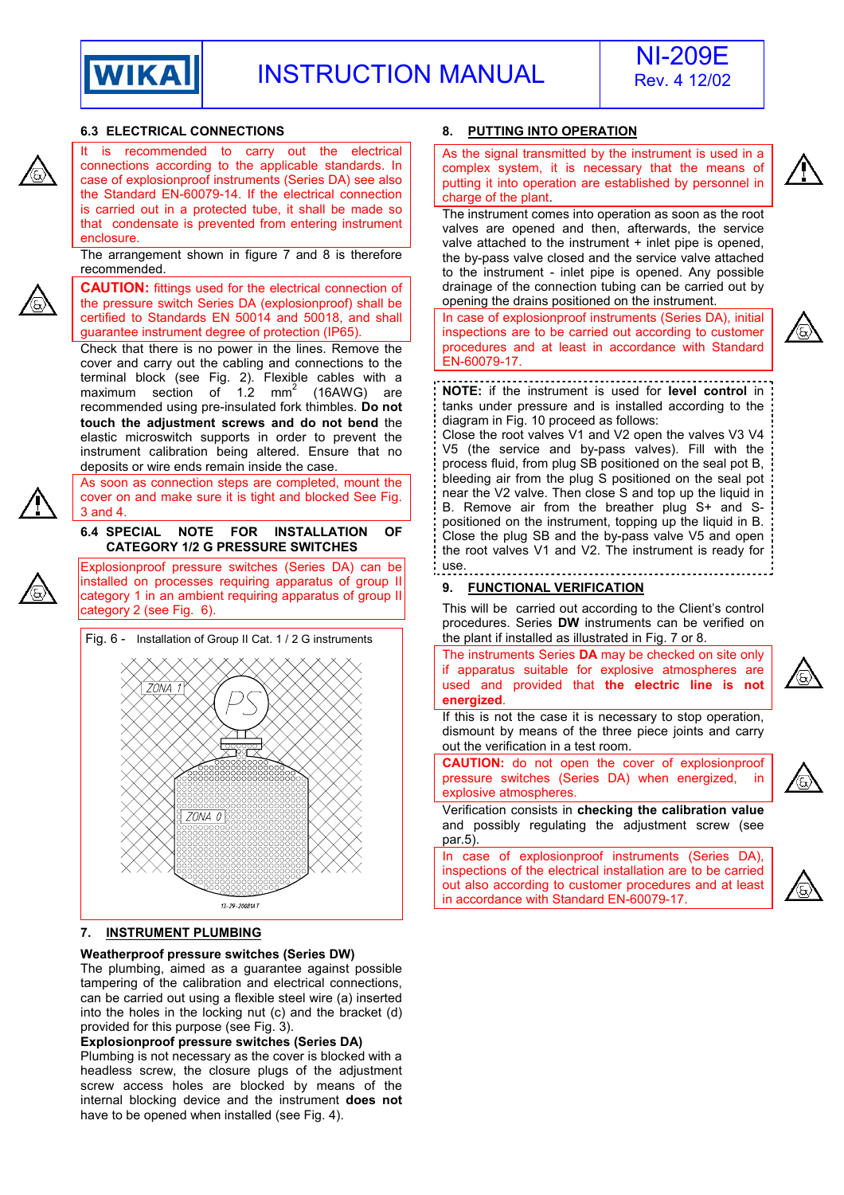



#### **6.3 ELECTRICAL CONNECTIONS 8. PUTTING INTO OPERATION** is recommended to carry out the electrical As the signal transmitted by the instrument is used in a connections according to the applicable standards. In complex system, it is necessary that the means of case of explosionproof instruments (Series DA) see also putting it into operation are established by personnel in the Standard EN-60079-14. If the electrical connection charge of the plant. is carried out in a protected tube, it shall be made so The instrument comes into operation as soon as the root that condensate is prevented from entering instrument valves are opened and then, afterwards, the service enclosure. valve attached to the instrument + inlet pipe is opened, The arrangement shown in figure 7 and 8 is therefore the by-pass valve closed and the service valve attached recommended. to the instrument - inlet pipe is opened. Any possible **CAUTION:** fittings used for the electrical connection of drainage of the connection tubing can be carried out by opening the drains positioned on the instrument. the pressure switch Series DA (explosionproof) shall be certified to Standards EN 50014 and 50018, and shall In case of explosionproof instruments (Series DA), initial guarantee instrument degree of protection (IP65). inspections are to be carried out according to customer procedures and at least in accordance with Standard Check that there is no power in the lines. Remove the cover and carry out the cabling and connections to the EN-60079-17. terminal block (see Fig. 2). Flexible cables with a maximum section of  $1.2 \text{ mm}^2$ **NOTE:** if the instrument is used for **level control** in (16AWG) are recommended using pre-insulated fork thimbles. **Do not**  tanks under pressure and is installed according to the diagram in Fig. 10 proceed as follows: **touch the adjustment screws and do not bend** the Close the root valves V1 and V2 open the valves V3 V4 elastic microswitch supports in order to prevent the V5 (the service and by-pass valves). Fill with the instrument calibration being altered. Ensure that no process fluid, from plug SB positioned on the seal pot B, deposits or wire ends remain inside the case. bleeding air from the plug S positioned on the seal pot As soon as connection steps are completed, mount the near the V2 valve. Then close S and top up the liquid in cover on and make sure it is tight and blocked See Fig. B. Remove air from the breather plug S+ and S-3 and 4. positioned on the instrument, topping up the liquid in B. **6.4 SPECIAL NOTE FOR INSTALLATION OF**  Close the plug SB and the by-pass valve V5 and open **CATEGORY 1/2 G PRESSURE SWITCHES**  the root valves V1 and V2. The instrument is ready for use. Explosionproof pressure switches (Series DA) can be installed on processes requiring apparatus of group II **9. FUNCTIONAL VERIFICATION** category 1 in an ambient requiring apparatus of group II This will be carried out according to the Client's control category 2 (see Fig. 6). procedures. Series **DW** instruments can be verified on the plant if installed as illustrated in Fig. 7 or 8. Fig. 6 - Installation of Group II Cat. 1 / 2 G instruments The instruments Series **DA** may be checked on site only if apparatus suitable for explosive atmospheres are used and provided that **the electric line is not energized**. If this is not the case it is necessary to stop operation, dismount by means of the three piece joints and carry out the verification in a test room. **CAUTION:** do not open the cover of explosionproof pressure switches (Series DA) when energized, in explosive atmospheres. 70NA 0 par.5). in accordance with Standard EN-60079-17. 13-29-20081AT









Verification consists in **checking the calibration value** and possibly regulating the adjustment screw (see

In case of explosionproof instruments (Series DA), inspections of the electrical installation are to be carried out also according to customer procedures and at least



### **7. INSTRUMENT PLUMBING**

### **Weatherproof pressure switches (Series DW)**

The plumbing, aimed as a guarantee against possible tampering of the calibration and electrical connections, can be carried out using a flexible steel wire (a) inserted into the holes in the locking nut (c) and the bracket (d) provided for this purpose (see Fig. 3).

### **Explosionproof pressure switches (Series DA)**

Plumbing is not necessary as the cover is blocked with a headless screw, the closure plugs of the adjustment screw access holes are blocked by means of the internal blocking device and the instrument **does not** have to be opened when installed (see Fig. 4).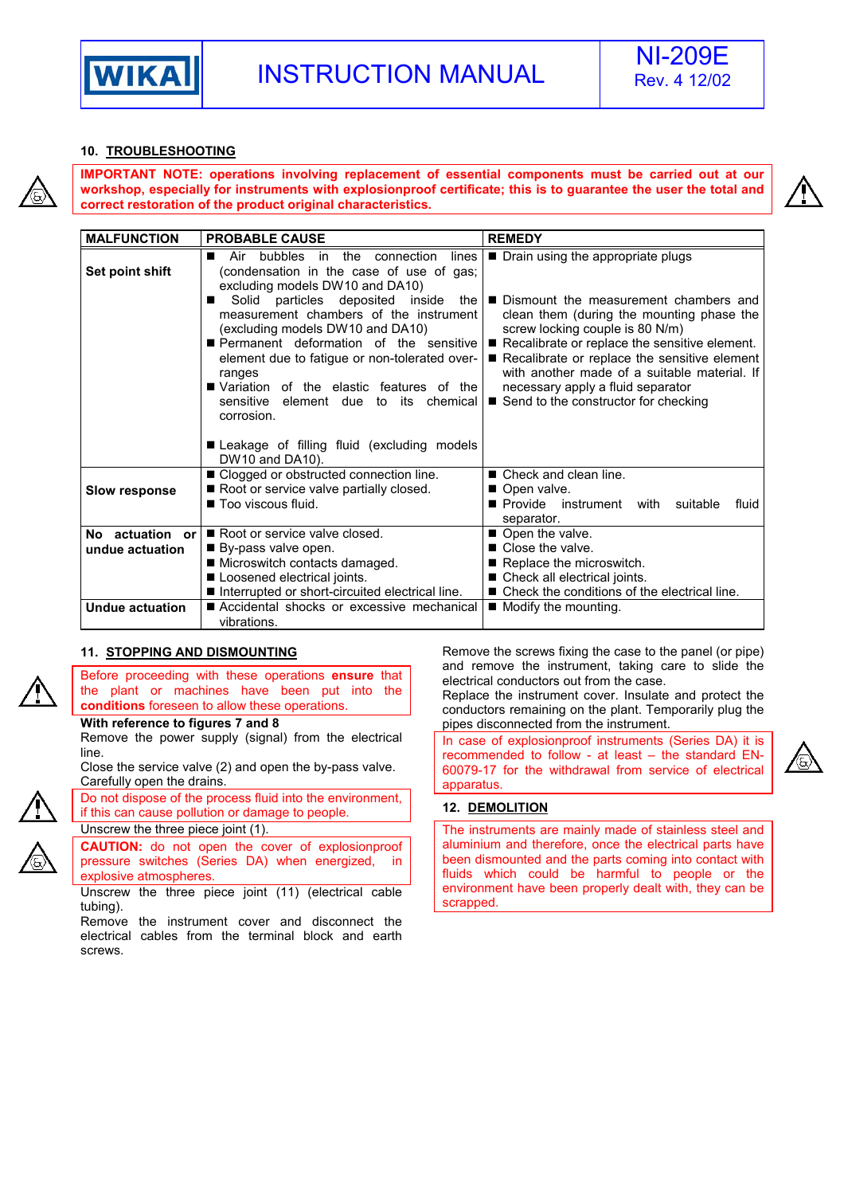

### **10. TROUBLESHOOTING**

**IMPORTANT NOTE: operations involving replacement of essential components must be carried out at our workshop, especially for instruments with explosionproof certificate; this is to guarantee the user the total and correct restoration of the product original characteristics.** 



| <b>MALFUNCTION</b>                           | <b>PROBABLE CAUSE</b>                                                                                                                                                                                                                                                                                                                                                                                                                                                                                                        | <b>REMEDY</b>                                                                                                                                                                                                                                                                                                                                                                                |
|----------------------------------------------|------------------------------------------------------------------------------------------------------------------------------------------------------------------------------------------------------------------------------------------------------------------------------------------------------------------------------------------------------------------------------------------------------------------------------------------------------------------------------------------------------------------------------|----------------------------------------------------------------------------------------------------------------------------------------------------------------------------------------------------------------------------------------------------------------------------------------------------------------------------------------------------------------------------------------------|
| Set point shift                              | in the connection<br>lines<br>Air<br>bubbles<br>(condensation in the case of use of gas;<br>excluding models DW10 and DA10)<br>Solid<br>particles deposited inside<br>the I<br>measurement chambers of the instrument<br>(excluding models DW10 and DA10)<br>Permanent deformation of the sensitive<br>element due to fatigue or non-tolerated over-<br>ranges<br>■ Variation of the elastic features of the l<br>sensitive element due<br>to<br>chemical<br>its<br>corrosion.<br>Leakage of filling fluid (excluding models | ■ Drain using the appropriate plugs<br>Dismount the measurement chambers and<br>clean them (during the mounting phase the<br>screw locking couple is 80 N/m)<br>Recalibrate or replace the sensitive element.<br>Recalibrate or replace the sensitive element<br>with another made of a suitable material. If<br>necessary apply a fluid separator<br>■ Send to the constructor for checking |
| <b>Slow response</b>                         | DW10 and DA10).<br>■ Clogged or obstructed connection line.<br>Root or service valve partially closed.<br>■ Too viscous fluid.                                                                                                                                                                                                                                                                                                                                                                                               | ■ Check and clean line.<br>■ Open valve.<br>Provide instrument with<br>suitable<br>fluid<br>separator.                                                                                                                                                                                                                                                                                       |
| No actuation<br><b>or</b><br>undue actuation | Root or service valve closed.<br>■ By-pass valve open.<br>■ Microswitch contacts damaged.<br>Loosened electrical joints.<br>Interrupted or short-circuited electrical line.                                                                                                                                                                                                                                                                                                                                                  | ■ Open the valve.<br>■ Close the valve.<br>Replace the microswitch.<br>■ Check all electrical joints.<br>■ Check the conditions of the electrical line.                                                                                                                                                                                                                                      |
| <b>Undue actuation</b>                       | ■ Accidental shocks or excessive mechanical<br>vibrations.                                                                                                                                                                                                                                                                                                                                                                                                                                                                   | ■ Modify the mounting.                                                                                                                                                                                                                                                                                                                                                                       |

### **11. STOPPING AND DISMOUNTING**

Before proceeding with these operations **ensure** that the plant or machines have been put into the **conditions** foreseen to allow these operations.

### **With reference to figures 7 and 8**

Remove the power supply (signal) from the electrical line.

Close the service valve (2) and open the by-pass valve. Carefully open the drains.

Do not dispose of the process fluid into the environment, if this can cause pollution or damage to people.

Unscrew the three piece joint (1). **CAUTION:** do not open the cover of explosionproof

pressure switches (Series DA) when energized, in explosive atmospheres.

Unscrew the three piece joint (11) (electrical cable tubing).

Remove the instrument cover and disconnect the electrical cables from the terminal block and earth screws.

Remove the screws fixing the case to the panel (or pipe) and remove the instrument, taking care to slide the electrical conductors out from the case.

Replace the instrument cover. Insulate and protect the conductors remaining on the plant. Temporarily plug the pipes disconnected from the instrument.

In case of explosionproof instruments (Series DA) it is recommended to follow - at least – the standard EN-60079-17 for the withdrawal from service of electrical apparatus.



### **12. DEMOLITION**

The instruments are mainly made of stainless steel and aluminium and therefore, once the electrical parts have been dismounted and the parts coming into contact with fluids which could be harmful to people or the environment have been properly dealt with, they can be scrapped.